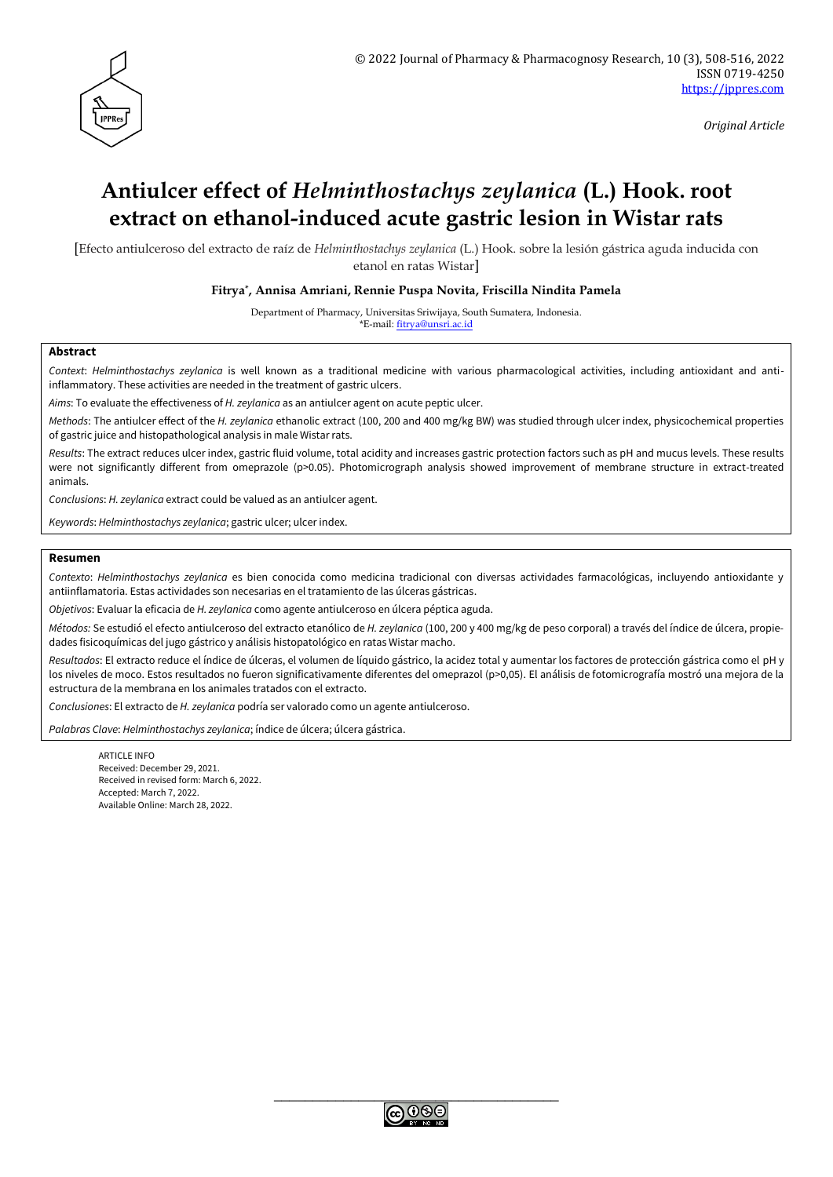

*Original Article*

# **Antiulcer effect of** *Helminthostachys zeylanica* **(L.) Hook. root extract on ethanol-induced acute gastric lesion in Wistar rats**

[Efecto antiulceroso del extracto de raíz de *Helminthostachys zeylanica* (L.) Hook. sobre la lesión gástrica aguda inducida con etanol en ratas Wistar]

**Fitrya\* , Annisa Amriani, Rennie Puspa Novita, Friscilla Nindita Pamela**

Department of Pharmacy, Universitas Sriwijaya, South Sumatera, Indonesia. \*E-mail: [fitrya@unsri.ac.id](mailto:fitrya@unsri.ac.id)

#### **Abstract**

*Context*: *Helminthostachys zeylanica* is well known as a traditional medicine with various pharmacological activities, including antioxidant and antiinflammatory. These activities are needed in the treatment of gastric ulcers.

*Aims*: To evaluate the effectiveness of *H. zeylanica* as an antiulcer agent on acute peptic ulcer.

*Methods*: The antiulcer effect of the *H. zeylanica* ethanolic extract (100, 200 and 400 mg/kg BW) was studied through ulcer index, physicochemical properties of gastric juice and histopathological analysis in male Wistar rats.

*Results*: The extract reduces ulcer index, gastric fluid volume, total acidity and increases gastric protection factors such as pH and mucus levels. These results were not significantly different from omeprazole (p>0.05). Photomicrograph analysis showed improvement of membrane structure in extract-treated animals.

*Conclusions*: *H. zeylanica* extract could be valued as an antiulcer agent.

*Keywords*: *Helminthostachys zeylanica*; gastric ulcer; ulcer index.

#### **Resumen**

*Contexto*: *Helminthostachys zeylanica* es bien conocida como medicina tradicional con diversas actividades farmacológicas, incluyendo antioxidante y antiinflamatoria. Estas actividades son necesarias en el tratamiento de las úlceras gástricas.

*Objetivos*: Evaluar la eficacia de *H. zeylanica* como agente antiulceroso en úlcera péptica aguda.

*Métodos:* Se estudió el efecto antiulceroso del extracto etanólico de *H. zeylanica* (100, 200 y 400 mg/kg de peso corporal) a través del índice de úlcera, propiedades fisicoquímicas del jugo gástrico y análisis histopatológico en ratas Wistar macho.

*Resultados*: El extracto reduce el índice de úlceras, el volumen de líquido gástrico, la acidez total y aumentar los factores de protección gástrica como el pH y los niveles de moco. Estos resultados no fueron significativamente diferentes del omeprazol (p>0,05). El análisis de fotomicrografía mostró una mejora de la estructura de la membrana en los animales tratados con el extracto.

*Conclusiones*: El extracto de *H. zeylanica* podría ser valorado como un agente antiulceroso.

*Palabras Clave*: *Helminthostachys zeylanica*; índice de úlcera; úlcera gástrica.

ARTICLE INFO Received: December 29, 2021. Received in revised form: March 6, 2022. Accepted: March 7, 2022. Available Online: March 28, 2022.

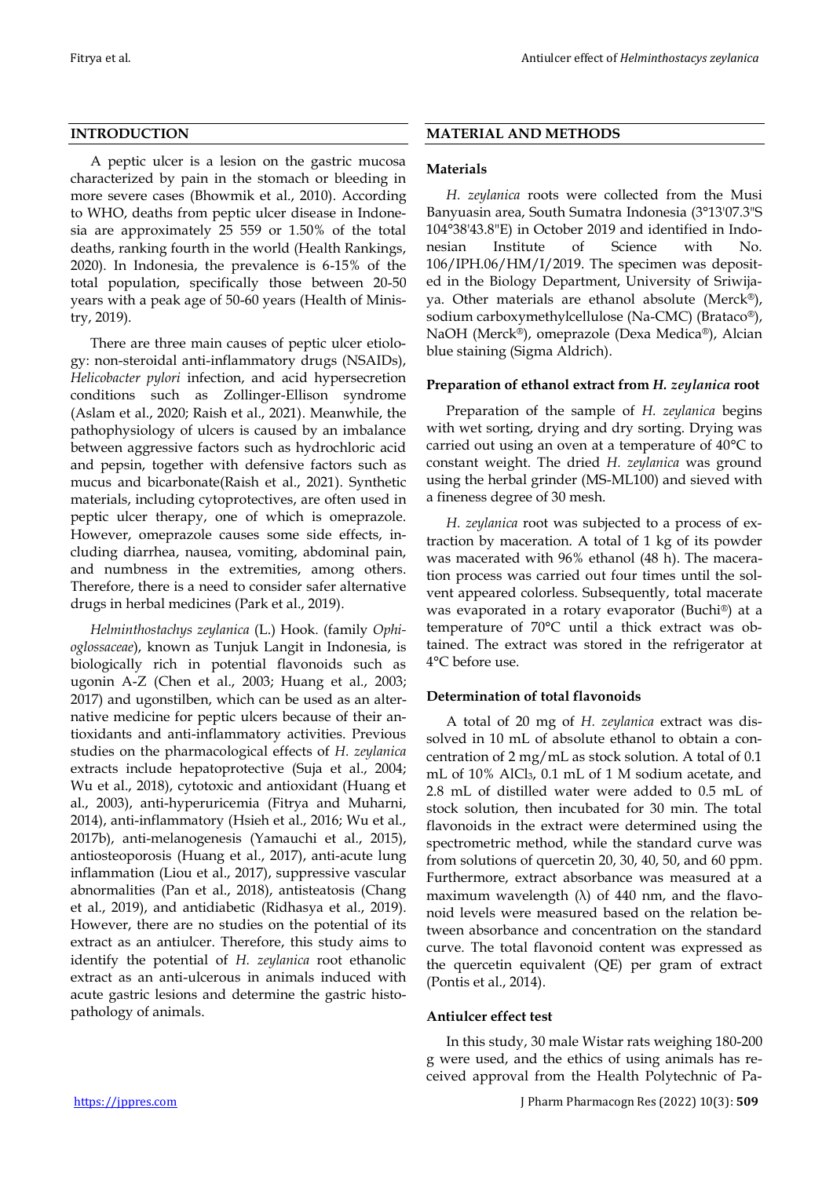## **INTRODUCTION**

A peptic ulcer is a lesion on the gastric mucosa characterized by pain in the stomach or bleeding in more severe cases (Bhowmik et al., 2010). According to WHO, deaths from peptic ulcer disease in Indonesia are approximately 25 559 or 1.50% of the total deaths, ranking fourth in the world (Health Rankings, 2020). In Indonesia, the prevalence is 6-15% of the total population, specifically those between 20-50 years with a peak age of 50-60 years (Health of Ministry, 2019).

There are three main causes of peptic ulcer etiology: non-steroidal anti-inflammatory drugs (NSAIDs), *Helicobacter pylori* infection, and acid hypersecretion conditions such as Zollinger-Ellison syndrome (Aslam et al., 2020; Raish et al., 2021). Meanwhile, the pathophysiology of ulcers is caused by an imbalance between aggressive factors such as hydrochloric acid and pepsin, together with defensive factors such as mucus and bicarbonate(Raish et al., 2021). Synthetic materials, including cytoprotectives, are often used in peptic ulcer therapy, one of which is omeprazole. However, omeprazole causes some side effects, including diarrhea, nausea, vomiting, abdominal pain, and numbness in the extremities, among others. Therefore, there is a need to consider safer alternative drugs in herbal medicines (Park et al., 2019).

*Helminthostachys zeylanica* (L.) Hook. (family *Ophioglossaceae*), known as Tunjuk Langit in Indonesia, is biologically rich in potential flavonoids such as ugonin A-Z (Chen et al., 2003; Huang et al., 2003; 2017) and ugonstilben, which can be used as an alternative medicine for peptic ulcers because of their antioxidants and anti-inflammatory activities. Previous studies on the pharmacological effects of *H. zeylanica* extracts include hepatoprotective (Suja et al., 2004; Wu et al., 2018), cytotoxic and antioxidant (Huang et al., 2003), anti-hyperuricemia (Fitrya and Muharni, 2014), anti-inflammatory (Hsieh et al., 2016; Wu et al., 2017b), anti-melanogenesis (Yamauchi et al., 2015), antiosteoporosis (Huang et al., 2017), anti-acute lung inflammation (Liou et al., 2017), suppressive vascular abnormalities (Pan et al., 2018), antisteatosis (Chang et al., 2019), and antidiabetic (Ridhasya et al., 2019). However, there are no studies on the potential of its extract as an antiulcer. Therefore, this study aims to identify the potential of *H. zeylanica* root ethanolic extract as an anti-ulcerous in animals induced with acute gastric lesions and determine the gastric histopathology of animals.

## **MATERIAL AND METHODS**

## **Materials**

*H. zeylanica* roots were collected from the Musi Banyuasin area, South Sumatra Indonesia (3°13'07.3"S 104°38'43.8"E) in October 2019 and identified in Indonesian Institute of Science with No. 106/IPH.06/HM/I/2019. The specimen was deposited in the Biology Department, University of Sriwijaya. Other materials are ethanol absolute (Merck®), sodium carboxymethylcellulose (Na-CMC) (Brataco®), NaOH (Merck®), omeprazole (Dexa Medica®), Alcian blue staining (Sigma Aldrich).

## **Preparation of ethanol extract from** *H. zeylanica* **root**

Preparation of the sample of *H. zeylanica* begins with wet sorting, drying and dry sorting. Drying was carried out using an oven at a temperature of 40°C to constant weight. The dried *H. zeylanica* was ground using the herbal grinder (MS-ML100) and sieved with a fineness degree of 30 mesh.

*H. zeylanica* root was subjected to a process of extraction by maceration. A total of 1 kg of its powder was macerated with 96% ethanol (48 h). The maceration process was carried out four times until the solvent appeared colorless. Subsequently, total macerate was evaporated in a rotary evaporator (Buchi®) at a temperature of 70°C until a thick extract was obtained. The extract was stored in the refrigerator at 4°C before use.

## **Determination of total flavonoids**

A total of 20 mg of *H. zeylanica* extract was dissolved in 10 mL of absolute ethanol to obtain a concentration of 2 mg/mL as stock solution. A total of 0.1 mL of 10% AlCl3, 0.1 mL of 1 M sodium acetate, and 2.8 mL of distilled water were added to 0.5 mL of stock solution, then incubated for 30 min. The total flavonoids in the extract were determined using the spectrometric method, while the standard curve was from solutions of quercetin 20, 30, 40, 50, and 60 ppm. Furthermore, extract absorbance was measured at a maximum wavelength  $(\lambda)$  of 440 nm, and the flavonoid levels were measured based on the relation between absorbance and concentration on the standard curve. The total flavonoid content was expressed as the quercetin equivalent (QE) per gram of extract (Pontis et al., 2014).

## **Antiulcer effect test**

In this study, 30 male Wistar rats weighing 180-200 g were used, and the ethics of using animals has received approval from the Health Polytechnic of Pa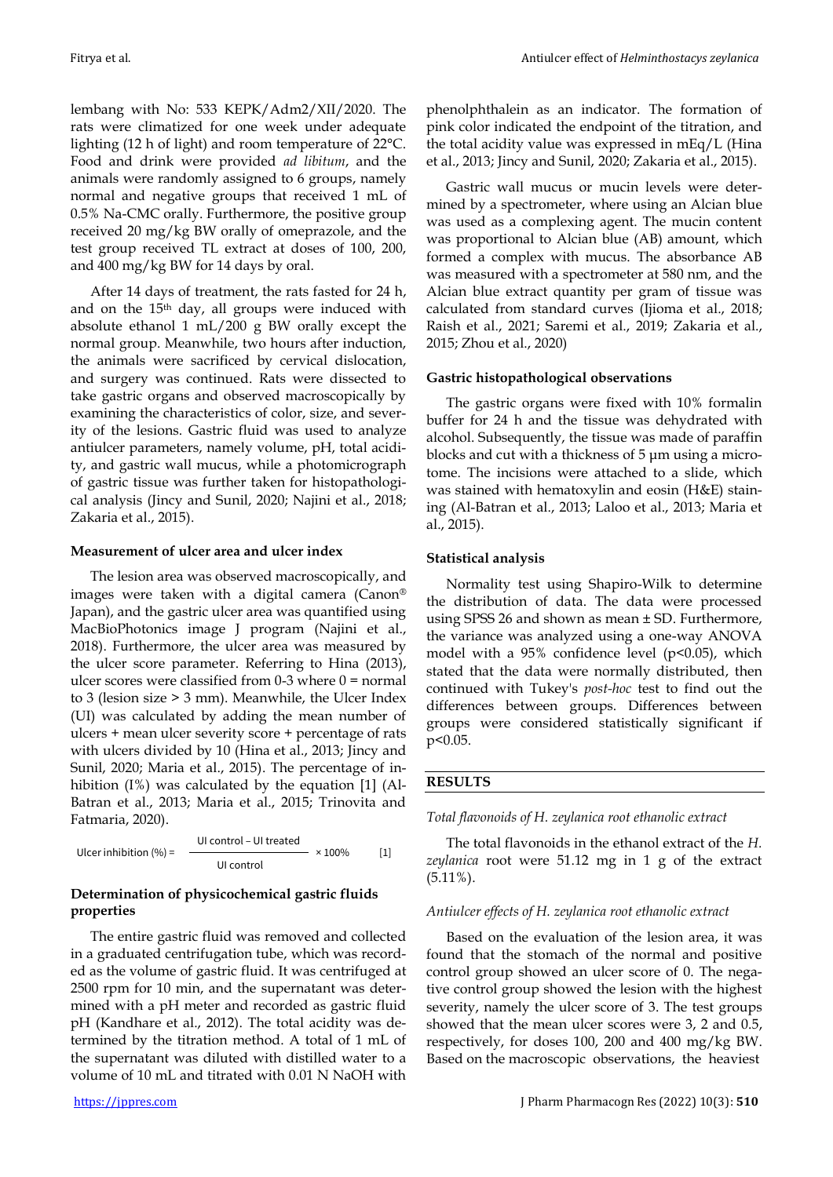lembang with No: 533 KEPK/Adm2/XII/2020. The rats were climatized for one week under adequate lighting (12 h of light) and room temperature of 22°C. Food and drink were provided *ad libitum*, and the animals were randomly assigned to 6 groups, namely normal and negative groups that received 1 mL of 0.5% Na-CMC orally. Furthermore, the positive group received 20 mg/kg BW orally of omeprazole, and the test group received TL extract at doses of 100, 200, and 400 mg/kg BW for 14 days by oral.

After 14 days of treatment, the rats fasted for 24 h, and on the 15th day, all groups were induced with absolute ethanol 1 mL/200 g BW orally except the normal group. Meanwhile, two hours after induction, the animals were sacrificed by cervical dislocation, and surgery was continued. Rats were dissected to take gastric organs and observed macroscopically by examining the characteristics of color, size, and severity of the lesions. Gastric fluid was used to analyze antiulcer parameters, namely volume, pH, total acidity, and gastric wall mucus, while a photomicrograph of gastric tissue was further taken for histopathological analysis (Jincy and Sunil, 2020; Najini et al., 2018; Zakaria et al., 2015).

## **Measurement of ulcer area and ulcer index**

The lesion area was observed macroscopically, and images were taken with a digital camera (Canon® Japan), and the gastric ulcer area was quantified using MacBioPhotonics image J program (Najini et al., 2018). Furthermore, the ulcer area was measured by the ulcer score parameter. Referring to Hina (2013), ulcer scores were classified from  $0-3$  where  $0 =$  normal to 3 (lesion size > 3 mm). Meanwhile, the Ulcer Index (UI) was calculated by adding the mean number of ulcers + mean ulcer severity score + percentage of rats with ulcers divided by 10 (Hina et al., 2013; Jincy and Sunil, 2020; Maria et al., 2015). The percentage of inhibition (I%) was calculated by the equation [1] (Al-Batran et al., 2013; Maria et al., 2015; Trinovita and Fatmaria, 2020).

Ulcer inhibition (%) = UI control – UI treated × 100% [1] UI control

## **Determination of physicochemical gastric fluids properties**

The entire gastric fluid was removed and collected in a graduated centrifugation tube, which was recorded as the volume of gastric fluid. It was centrifuged at 2500 rpm for 10 min, and the supernatant was determined with a pH meter and recorded as gastric fluid pH (Kandhare et al., 2012). The total acidity was determined by the titration method. A total of 1 mL of the supernatant was diluted with distilled water to a volume of 10 mL and titrated with 0.01 N NaOH with

phenolphthalein as an indicator. The formation of pink color indicated the endpoint of the titration, and the total acidity value was expressed in mEq/L (Hina et al., 2013; Jincy and Sunil, 2020; Zakaria et al., 2015).

Gastric wall mucus or mucin levels were determined by a spectrometer, where using an Alcian blue was used as a complexing agent. The mucin content was proportional to Alcian blue (AB) amount, which formed a complex with mucus. The absorbance AB was measured with a spectrometer at 580 nm, and the Alcian blue extract quantity per gram of tissue was calculated from standard curves (Ijioma et al., 2018; Raish et al., 2021; Saremi et al., 2019; Zakaria et al., 2015; Zhou et al., 2020)

## **Gastric histopathological observations**

The gastric organs were fixed with 10% formalin buffer for 24 h and the tissue was dehydrated with alcohol. Subsequently, the tissue was made of paraffin blocks and cut with a thickness of 5 μm using a microtome. The incisions were attached to a slide, which was stained with hematoxylin and eosin (H&E) staining (Al-Batran et al., 2013; Laloo et al., 2013; Maria et al., 2015).

## **Statistical analysis**

Normality test using Shapiro-Wilk to determine the distribution of data. The data were processed using SPSS 26 and shown as mean ± SD. Furthermore, the variance was analyzed using a one-way ANOVA model with a  $95\%$  confidence level ( $p<0.05$ ), which stated that the data were normally distributed, then continued with Tukey's *post-hoc* test to find out the differences between groups. Differences between groups were considered statistically significant if p<0.05.

## **RESULTS**

## *Total flavonoids of H. zeylanica root ethanolic extract*

The total flavonoids in the ethanol extract of the *H. zeylanica* root were 51.12 mg in 1 g of the extract (5.11%).

### *Antiulcer effects of H. zeylanica root ethanolic extract*

Based on the evaluation of the lesion area, it was found that the stomach of the normal and positive control group showed an ulcer score of 0. The negative control group showed the lesion with the highest severity, namely the ulcer score of 3. The test groups showed that the mean ulcer scores were 3, 2 and 0.5, respectively, for doses 100, 200 and 400 mg/kg BW. Based on the macroscopic observations, the heaviest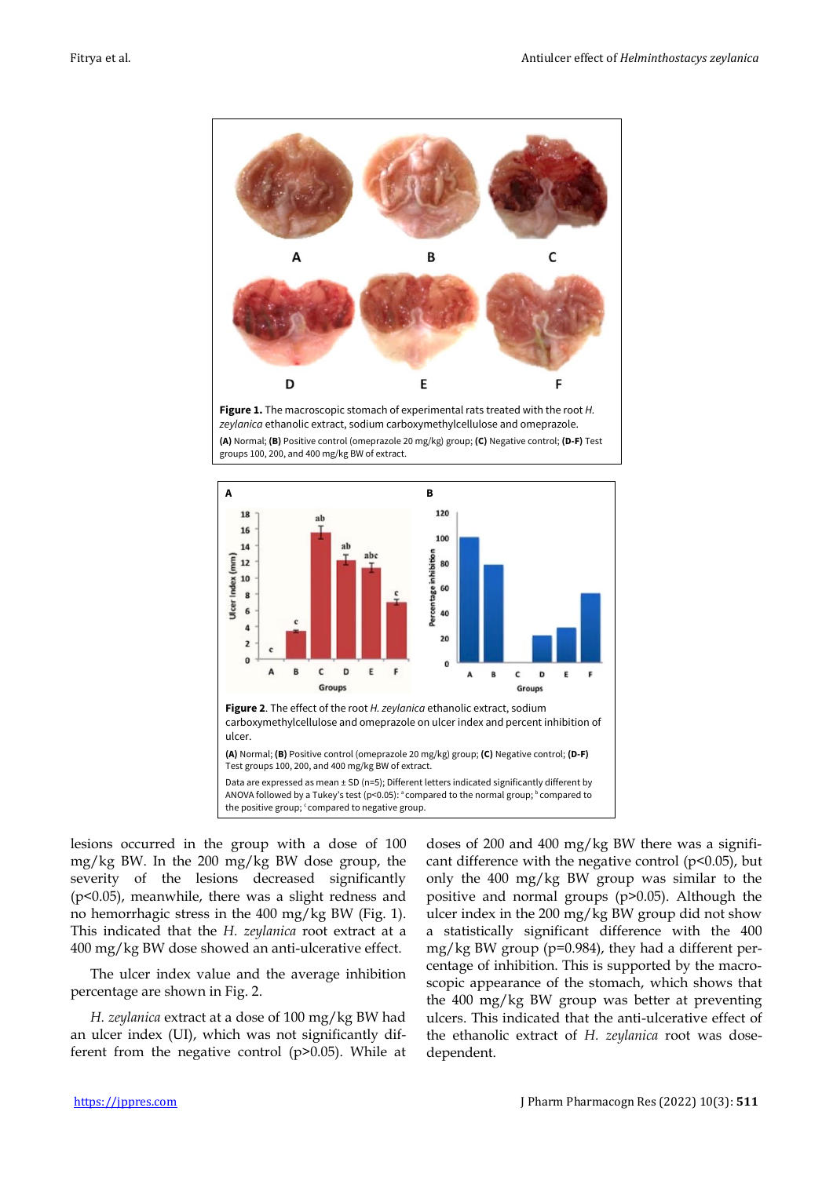

**Figure 1.** The macroscopic stomach of experimental rats treated with the root *H. zeylanica* ethanolic extract, sodium carboxymethylcellulose and omeprazole. **(A)** Normal; **(B)** Positive control (omeprazole 20 mg/kg) group; **(C)** Negative control; **(D-F)** Test groups 100, 200, and 400 mg/kg BW of extract.



lesions occurred in the group with a dose of 100 mg/kg BW. In the 200 mg/kg BW dose group, the severity of the lesions decreased significantly (p<0.05), meanwhile, there was a slight redness and no hemorrhagic stress in the 400 mg/kg BW (Fig. 1). This indicated that the *H. zeylanica* root extract at a 400 mg/kg BW dose showed an anti-ulcerative effect.

The ulcer index value and the average inhibition percentage are shown in Fig. 2.

*H. zeylanica* extract at a dose of 100 mg/kg BW had an ulcer index (UI), which was not significantly different from the negative control (p>0.05). While at

doses of 200 and 400 mg/kg BW there was a significant difference with the negative control ( $p$ <0.05), but only the 400 mg/kg BW group was similar to the positive and normal groups (p>0.05). Although the ulcer index in the 200 mg/kg BW group did not show a statistically significant difference with the 400 mg/kg BW group (p=0.984), they had a different percentage of inhibition. This is supported by the macroscopic appearance of the stomach, which shows that the 400 mg/kg BW group was better at preventing ulcers. This indicated that the anti-ulcerative effect of the ethanolic extract of *H. zeylanica* root was dosedependent.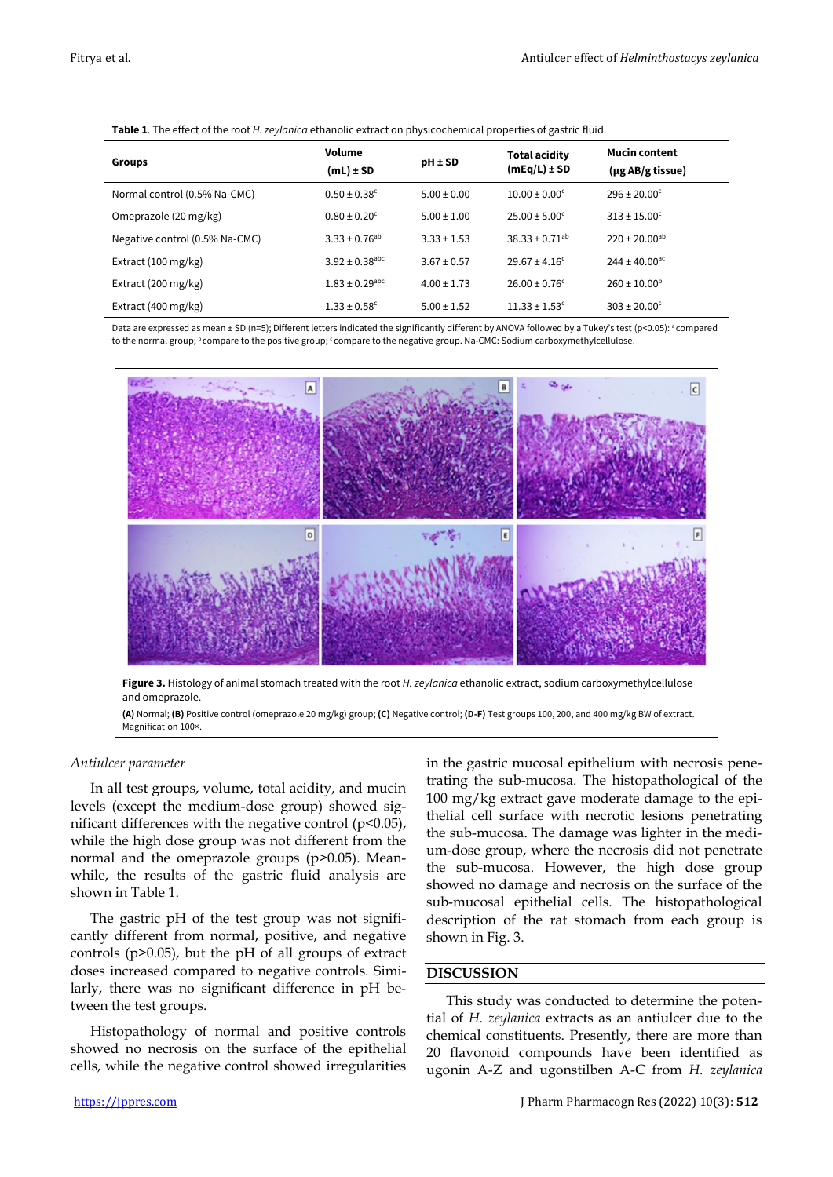| <b>Groups</b>                  | Volume<br>$(mL) \pm SD$        | $pH \pm SD$     | <b>Total acidity</b><br>$(mEq/L) \pm SD$ | <b>Mucin content</b><br>(µg AB/g tissue) |  |  |
|--------------------------------|--------------------------------|-----------------|------------------------------------------|------------------------------------------|--|--|
| Normal control (0.5% Na-CMC)   | $0.50 \pm 0.38$ <sup>c</sup>   | $5.00 \pm 0.00$ | $10.00 \pm 0.00^{\circ}$                 | $296 \pm 20.00^{\circ}$                  |  |  |
| Omeprazole (20 mg/kg)          | $0.80 \pm 0.20^{\circ}$        | $5.00 \pm 1.00$ | $25.00 \pm 5.00^{\circ}$                 | $313 \pm 15.00^{\circ}$                  |  |  |
| Negative control (0.5% Na-CMC) | $3.33 \pm 0.76^{ab}$           | $3.33 \pm 1.53$ | $38.33 \pm 0.71^{ab}$                    | $220 \pm 20.00^{ab}$                     |  |  |
| Extract (100 mg/kg)            | $3.92 \pm 0.38$ <sup>abc</sup> | $3.67 \pm 0.57$ | $29.67 \pm 4.16^c$                       | $244 \pm 40.00^{\text{ac}}$              |  |  |
| Extract (200 mg/kg)            | $1.83 \pm 0.29$ <sup>abc</sup> | $4.00 \pm 1.73$ | $26.00 \pm 0.76$ <sup>c</sup>            | $260 \pm 10.00^{\rm b}$                  |  |  |
| Extract (400 mg/kg)            | $1.33 \pm 0.58$ <sup>c</sup>   | $5.00 \pm 1.52$ | $11.33 \pm 1.53$ <sup>c</sup>            | $303 \pm 20.00^{\circ}$                  |  |  |

**Table 1**. The effect of the root *H. zeylanica* ethanolic extract on physicochemical properties of gastric fluid.

Data are expressed as mean ± SD (n=5); Different letters indicated the significantly different by ANOVA followed by a Tukey's test (p<0.05):  $^a$  compared to the normal group; <sup>b</sup> compare to the positive group; 'compare to the negative group. Na-CMC: Sodium carboxymethylcellulose.



and omeprazole.

**(A)** Normal; **(B)** Positive control (omeprazole 20 mg/kg) group; **(C)** Negative control; **(D-F)** Test groups 100, 200, and 400 mg/kg BW of extract. Magnification 100×.

### *Antiulcer parameter*

In all test groups, volume, total acidity, and mucin levels (except the medium-dose group) showed significant differences with the negative control  $(p<0.05)$ , while the high dose group was not different from the normal and the omeprazole groups (p>0.05). Meanwhile, the results of the gastric fluid analysis are shown in Table 1.

The gastric pH of the test group was not significantly different from normal, positive, and negative controls (p>0.05), but the pH of all groups of extract doses increased compared to negative controls. Similarly, there was no significant difference in pH between the test groups.

Histopathology of normal and positive controls showed no necrosis on the surface of the epithelial cells, while the negative control showed irregularities

in the gastric mucosal epithelium with necrosis penetrating the sub-mucosa. The histopathological of the 100 mg/kg extract gave moderate damage to the epithelial cell surface with necrotic lesions penetrating the sub-mucosa. The damage was lighter in the medium-dose group, where the necrosis did not penetrate the sub-mucosa. However, the high dose group showed no damage and necrosis on the surface of the sub-mucosal epithelial cells. The histopathological description of the rat stomach from each group is shown in Fig. 3.

## **DISCUSSION**

This study was conducted to determine the potential of *H. zeylanica* extracts as an antiulcer due to the chemical constituents. Presently, there are more than 20 flavonoid compounds have been identified as ugonin A-Z and ugonstilben A-C from *H. zeylanica*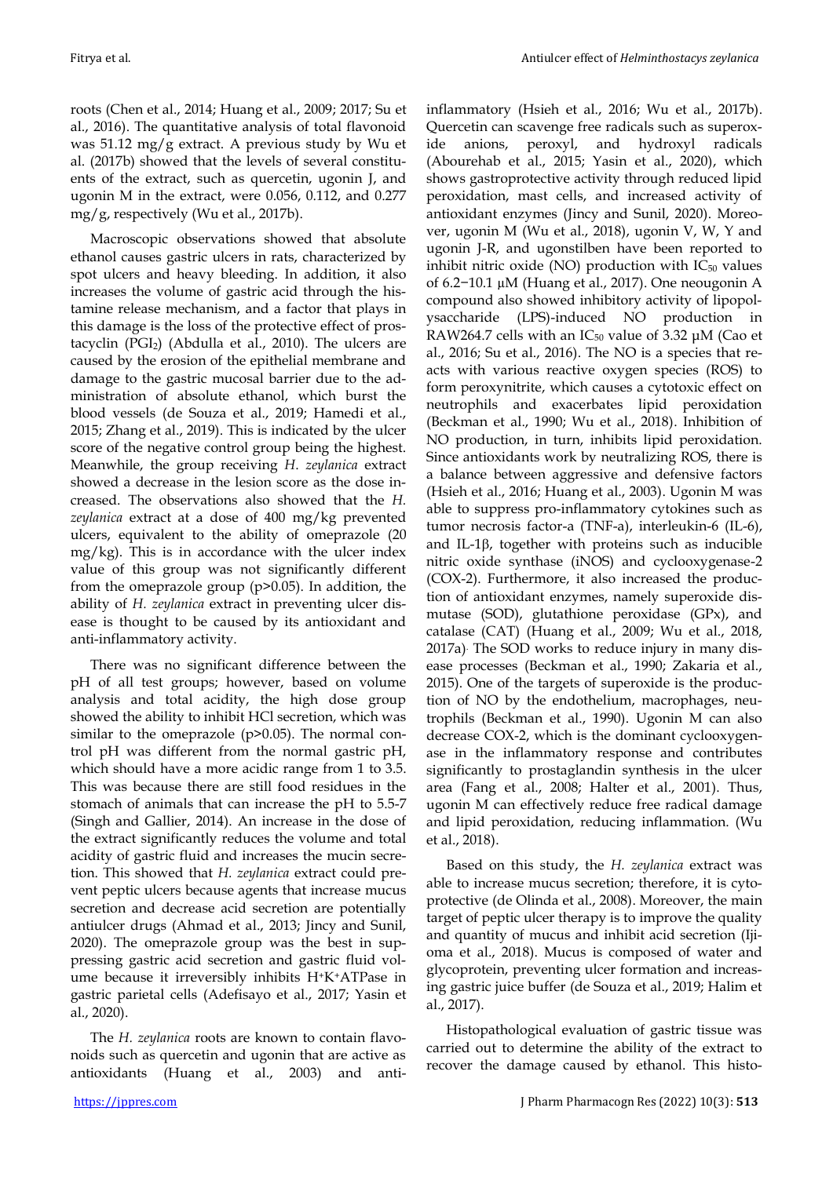roots (Chen et al., 2014; Huang et al., 2009; 2017; Su et al., 2016). The quantitative analysis of total flavonoid was 51.12 mg/g extract. A previous study by Wu et al. (2017b) showed that the levels of several constituents of the extract, such as quercetin, ugonin J, and ugonin M in the extract, were 0.056, 0.112, and 0.277 mg/g, respectively (Wu et al., 2017b).

Macroscopic observations showed that absolute ethanol causes gastric ulcers in rats, characterized by spot ulcers and heavy bleeding. In addition, it also increases the volume of gastric acid through the histamine release mechanism, and a factor that plays in this damage is the loss of the protective effect of prostacyclin (PGI2) (Abdulla et al., 2010). The ulcers are caused by the erosion of the epithelial membrane and damage to the gastric mucosal barrier due to the administration of absolute ethanol, which burst the blood vessels (de Souza et al., 2019; Hamedi et al., 2015; Zhang et al., 2019). This is indicated by the ulcer score of the negative control group being the highest. Meanwhile, the group receiving *H*. *zeylanica* extract showed a decrease in the lesion score as the dose increased. The observations also showed that the *H. zeylanica* extract at a dose of 400 mg/kg prevented ulcers, equivalent to the ability of omeprazole (20 mg/kg). This is in accordance with the ulcer index value of this group was not significantly different from the omeprazole group (p>0.05). In addition, the ability of *H. zeylanica* extract in preventing ulcer disease is thought to be caused by its antioxidant and anti-inflammatory activity.

There was no significant difference between the pH of all test groups; however, based on volume analysis and total acidity, the high dose group showed the ability to inhibit HCl secretion, which was similar to the omeprazole (p>0.05). The normal control pH was different from the normal gastric pH, which should have a more acidic range from 1 to 3.5. This was because there are still food residues in the stomach of animals that can increase the pH to 5.5-7 (Singh and Gallier, 2014). An increase in the dose of the extract significantly reduces the volume and total acidity of gastric fluid and increases the mucin secretion. This showed that *H. zeylanica* extract could prevent peptic ulcers because agents that increase mucus secretion and decrease acid secretion are potentially antiulcer drugs (Ahmad et al., 2013; Jincy and Sunil, 2020). The omeprazole group was the best in suppressing gastric acid secretion and gastric fluid volume because it irreversibly inhibits H+K+ATPase in gastric parietal cells (Adefisayo et al., 2017; Yasin et al., 2020).

The *H. zeylanica* roots are known to contain flavonoids such as quercetin and ugonin that are active as antioxidants (Huang et al., 2003) and antiinflammatory (Hsieh et al., 2016; Wu et al., 2017b). Quercetin can scavenge free radicals such as superoxide anions, peroxyl, and hydroxyl radicals (Abourehab et al., 2015; Yasin et al., 2020), which shows gastroprotective activity through reduced lipid peroxidation, mast cells, and increased activity of antioxidant enzymes (Jincy and Sunil, 2020). Moreover, ugonin M (Wu et al., 2018), ugonin V, W, Y and ugonin J-R, and ugonstilben have been reported to inhibit nitric oxide (NO) production with  $IC_{50}$  values of 6.2−10.1 µM (Huang et al., 2017). One neougonin A compound also showed inhibitory activity of lipopolysaccharide (LPS)-induced NO production in RAW264.7 cells with an IC<sub>50</sub> value of 3.32  $\mu$ M (Cao et al., 2016; Su et al., 2016). The NO is a species that reacts with various reactive oxygen species (ROS) to form peroxynitrite, which causes a cytotoxic effect on neutrophils and exacerbates lipid peroxidation (Beckman et al., 1990; Wu et al., 2018). Inhibition of NO production, in turn, inhibits lipid peroxidation. Since antioxidants work by neutralizing ROS, there is a balance between aggressive and defensive factors (Hsieh et al., 2016; Huang et al., 2003). Ugonin M was able to suppress pro-inflammatory cytokines such as tumor necrosis factor-a (TNF-a), interleukin-6 (IL-6), and IL-1<sub>B</sub>, together with proteins such as inducible nitric oxide synthase (iNOS) and cyclooxygenase-2 (COX-2). Furthermore, it also increased the production of antioxidant enzymes, namely superoxide dismutase (SOD), glutathione peroxidase (GPx), and catalase (CAT) (Huang et al., 2009; Wu et al., 2018, 2017a). The SOD works to reduce injury in many disease processes (Beckman et al., 1990; Zakaria et al., 2015). One of the targets of superoxide is the production of NO by the endothelium, macrophages, neutrophils (Beckman et al., 1990). Ugonin M can also decrease COX-2, which is the dominant cyclooxygenase in the inflammatory response and contributes significantly to prostaglandin synthesis in the ulcer area (Fang et al., 2008; Halter et al., 2001). Thus, ugonin M can effectively reduce free radical damage and lipid peroxidation, reducing inflammation. (Wu et al., 2018).

Based on this study, the *H. zeylanica* extract was able to increase mucus secretion; therefore, it is cytoprotective (de Olinda et al., 2008). Moreover, the main target of peptic ulcer therapy is to improve the quality and quantity of mucus and inhibit acid secretion (Ijioma et al., 2018). Mucus is composed of water and glycoprotein, preventing ulcer formation and increasing gastric juice buffer (de Souza et al., 2019; Halim et al., 2017).

Histopathological evaluation of gastric tissue was carried out to determine the ability of the extract to recover the damage caused by ethanol. This histo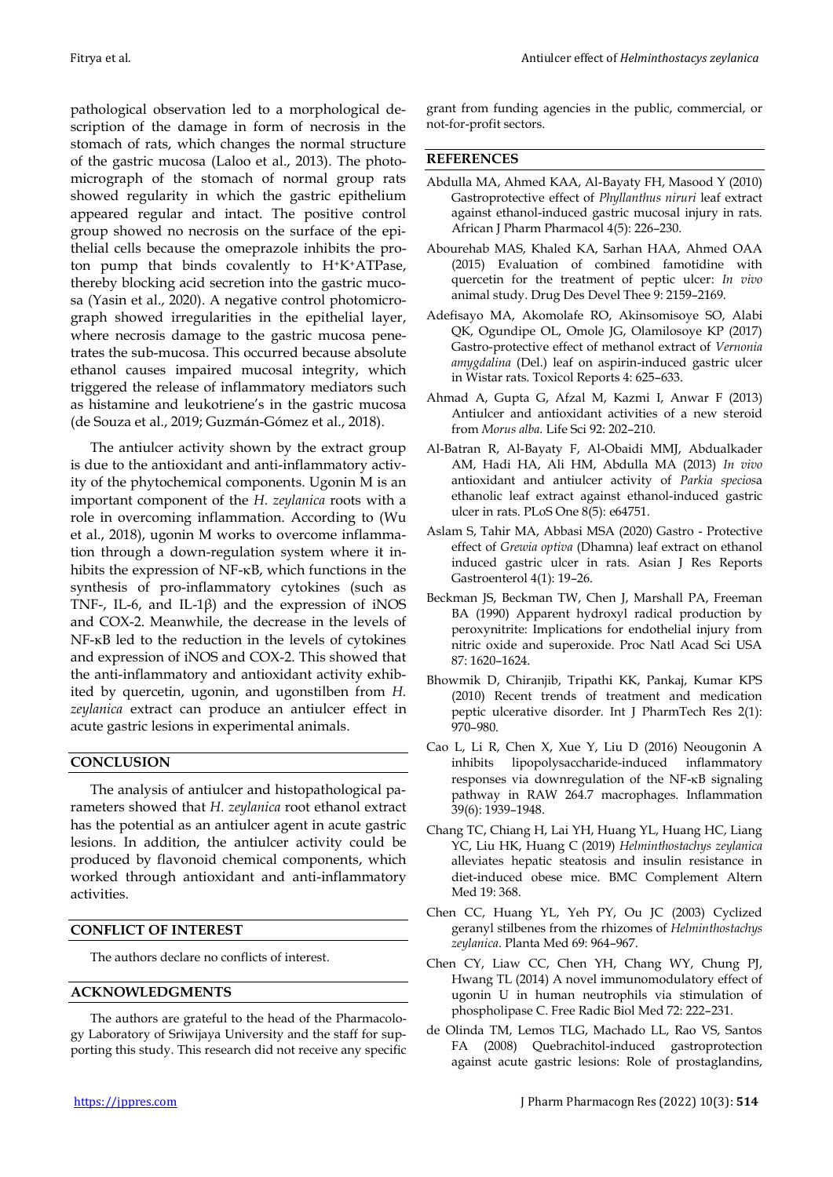pathological observation led to a morphological description of the damage in form of necrosis in the stomach of rats, which changes the normal structure of the gastric mucosa (Laloo et al., 2013). The photomicrograph of the stomach of normal group rats showed regularity in which the gastric epithelium appeared regular and intact. The positive control group showed no necrosis on the surface of the epithelial cells because the omeprazole inhibits the proton pump that binds covalently to H+K+ATPase, thereby blocking acid secretion into the gastric mucosa (Yasin et al., 2020). A negative control photomicrograph showed irregularities in the epithelial layer, where necrosis damage to the gastric mucosa penetrates the sub-mucosa. This occurred because absolute ethanol causes impaired mucosal integrity, which triggered the release of inflammatory mediators such as histamine and leukotriene's in the gastric mucosa (de Souza et al., 2019; Guzmán-Gómez et al., 2018).

The antiulcer activity shown by the extract group is due to the antioxidant and anti-inflammatory activity of the phytochemical components. Ugonin M is an important component of the *H. zeylanica* roots with a role in overcoming inflammation. According to (Wu et al., 2018), ugonin M works to overcome inflammation through a down-regulation system where it inhibits the expression of NF-KB, which functions in the synthesis of pro-inflammatory cytokines (such as TNF-, IL-6, and IL-1β) and the expression of iNOS and COX-2. Meanwhile, the decrease in the levels of NF-κB led to the reduction in the levels of cytokines and expression of iNOS and COX-2. This showed that the anti-inflammatory and antioxidant activity exhibited by quercetin, ugonin, and ugonstilben from *H. zeylanica* extract can produce an antiulcer effect in acute gastric lesions in experimental animals.

# **CONCLUSION**

The analysis of antiulcer and histopathological parameters showed that *H. zeylanica* root ethanol extract has the potential as an antiulcer agent in acute gastric lesions. In addition, the antiulcer activity could be produced by flavonoid chemical components, which worked through antioxidant and anti-inflammatory activities.

### **CONFLICT OF INTEREST**

The authors declare no conflicts of interest.

## **ACKNOWLEDGMENTS**

The authors are grateful to the head of the Pharmacology Laboratory of Sriwijaya University and the staff for supporting this study. This research did not receive any specific

## **REFERENCES**

- Abdulla MA, Ahmed KAA, Al-Bayaty FH, Masood Y (2010) Gastroprotective effect of *Phyllanthus niruri* leaf extract against ethanol-induced gastric mucosal injury in rats. African J Pharm Pharmacol 4(5): 226–230.
- Abourehab MAS, Khaled KA, Sarhan HAA, Ahmed OAA (2015) Evaluation of combined famotidine with quercetin for the treatment of peptic ulcer: *In vivo* animal study. Drug Des Devel Thee 9: 2159–2169.
- Adefisayo MA, Akomolafe RO, Akinsomisoye SO, Alabi QK, Ogundipe OL, Omole JG, Olamilosoye KP (2017) Gastro-protective effect of methanol extract of *Vernonia amygdalina* (Del.) leaf on aspirin-induced gastric ulcer in Wistar rats. Toxicol Reports 4: 625–633.
- Ahmad A, Gupta G, Afzal M, Kazmi I, Anwar F (2013) Antiulcer and antioxidant activities of a new steroid from *Morus alba*. Life Sci 92: 202–210.
- Al-Batran R, Al-Bayaty F, Al-Obaidi MMJ, Abdualkader AM, Hadi HA, Ali HM, Abdulla MA (2013) *In vivo* antioxidant and antiulcer activity of *Parkia specios*a ethanolic leaf extract against ethanol-induced gastric ulcer in rats. PLoS One 8(5): e64751.
- Aslam S, Tahir MA, Abbasi MSA (2020) Gastro Protective effect of *Grewia optiva* (Dhamna) leaf extract on ethanol induced gastric ulcer in rats. Asian J Res Reports Gastroenterol 4(1): 19–26.
- Beckman JS, Beckman TW, Chen J, Marshall PA, Freeman BA (1990) Apparent hydroxyl radical production by peroxynitrite: Implications for endothelial injury from nitric oxide and superoxide. Proc Natl Acad Sci USA 87: 1620–1624.
- Bhowmik D, Chiranjib, Tripathi KK, Pankaj, Kumar KPS (2010) Recent trends of treatment and medication peptic ulcerative disorder. Int J PharmTech Res 2(1): 970–980.
- Cao L, Li R, Chen X, Xue Y, Liu D (2016) Neougonin A inhibits lipopolysaccharide-induced inflammatory responses via downregulation of the NF- $\kappa$ B signaling pathway in RAW 264.7 macrophages. Inflammation 39(6): 1939–1948.
- Chang TC, Chiang H, Lai YH, Huang YL, Huang HC, Liang YC, Liu HK, Huang C (2019) *Helminthostachys zeylanica* alleviates hepatic steatosis and insulin resistance in diet-induced obese mice. BMC Complement Altern Med 19: 368.
- Chen CC, Huang YL, Yeh PY, Ou JC (2003) Cyclized geranyl stilbenes from the rhizomes of *Helminthostachys zeylanica*. Planta Med 69: 964–967.
- Chen CY, Liaw CC, Chen YH, Chang WY, Chung PJ, Hwang TL (2014) A novel immunomodulatory effect of ugonin U in human neutrophils via stimulation of phospholipase C. Free Radic Biol Med 72: 222–231.
- de Olinda TM, Lemos TLG, Machado LL, Rao VS, Santos FA (2008) Quebrachitol-induced gastroprotection against acute gastric lesions: Role of prostaglandins,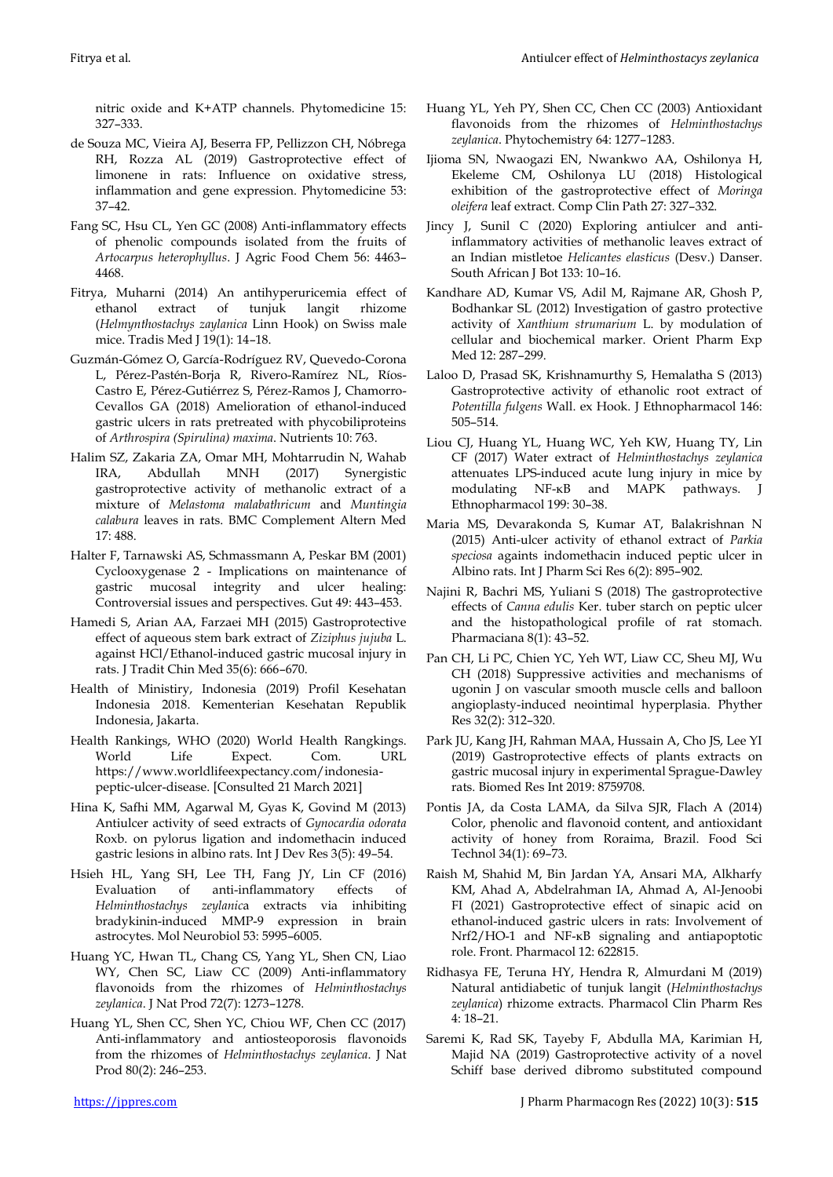nitric oxide and K+ATP channels. Phytomedicine 15: 327–333.

- de Souza MC, Vieira AJ, Beserra FP, Pellizzon CH, Nóbrega RH, Rozza AL (2019) Gastroprotective effect of limonene in rats: Influence on oxidative stress, inflammation and gene expression. Phytomedicine 53: 37–42.
- Fang SC, Hsu CL, Yen GC (2008) Anti-inflammatory effects of phenolic compounds isolated from the fruits of *Artocarpus heterophyllus*. J Agric Food Chem 56: 4463– 4468.
- Fitrya, Muharni (2014) An antihyperuricemia effect of ethanol extract of tunjuk langit rhizome (*Helmynthostachys zaylanica* Linn Hook) on Swiss male mice. Tradis Med J 19(1): 14–18.
- Guzmán-Gómez O, García-Rodríguez RV, Quevedo-Corona L, Pérez-Pastén-Borja R, Rivero-Ramírez NL, Ríos-Castro E, Pérez-Gutiérrez S, Pérez-Ramos J, Chamorro-Cevallos GA (2018) Amelioration of ethanol-induced gastric ulcers in rats pretreated with phycobiliproteins of *Arthrospira (Spirulina) maxima*. Nutrients 10: 763.
- Halim SZ, Zakaria ZA, Omar MH, Mohtarrudin N, Wahab IRA, Abdullah MNH (2017) Synergistic gastroprotective activity of methanolic extract of a mixture of *Melastoma malabathricum* and *Muntingia calabura* leaves in rats. BMC Complement Altern Med 17: 488.
- Halter F, Tarnawski AS, Schmassmann A, Peskar BM (2001) Cyclooxygenase 2 - Implications on maintenance of gastric mucosal integrity and ulcer healing: Controversial issues and perspectives. Gut 49: 443–453.
- Hamedi S, Arian AA, Farzaei MH (2015) Gastroprotective effect of aqueous stem bark extract of *Ziziphus jujuba* L. against HCl/Ethanol-induced gastric mucosal injury in rats. J Tradit Chin Med 35(6): 666–670.
- Health of Ministiry, Indonesia (2019) Profil Kesehatan Indonesia 2018. Kementerian Kesehatan Republik Indonesia, Jakarta.
- Health Rankings, WHO (2020) World Health Rangkings. World Life Expect. Com. URL https://www.worldlifeexpectancy.com/indonesiapeptic-ulcer-disease. [Consulted 21 March 2021]
- Hina K, Safhi MM, Agarwal M, Gyas K, Govind M (2013) Antiulcer activity of seed extracts of *Gynocardia odorata* Roxb. on pylorus ligation and indomethacin induced gastric lesions in albino rats. Int J Dev Res 3(5): 49–54.
- Hsieh HL, Yang SH, Lee TH, Fang JY, Lin CF (2016) Evaluation of anti-inflammatory effects of *Helminthostachys zeylanic*a extracts via inhibiting bradykinin-induced MMP-9 expression in brain astrocytes. Mol Neurobiol 53: 5995–6005.
- Huang YC, Hwan TL, Chang CS, Yang YL, Shen CN, Liao WY, Chen SC, Liaw CC (2009) Anti-inflammatory flavonoids from the rhizomes of *Helminthostachys zeylanica*. J Nat Prod 72(7): 1273–1278.
- Huang YL, Shen CC, Shen YC, Chiou WF, Chen CC (2017) Anti-inflammatory and antiosteoporosis flavonoids from the rhizomes of *Helminthostachys zeylanica*. J Nat Prod 80(2): 246–253.
- Huang YL, Yeh PY, Shen CC, Chen CC (2003) Antioxidant flavonoids from the rhizomes of *Helminthostachys zeylanica*. Phytochemistry 64: 1277–1283.
- Ijioma SN, Nwaogazi EN, Nwankwo AA, Oshilonya H, Ekeleme CM, Oshilonya LU (2018) Histological exhibition of the gastroprotective effect of *Moringa oleifera* leaf extract. Comp Clin Path 27: 327–332.
- Jincy J, Sunil C (2020) Exploring antiulcer and antiinflammatory activities of methanolic leaves extract of an Indian mistletoe *Helicantes elasticus* (Desv.) Danser. South African J Bot 133: 10–16.
- Kandhare AD, Kumar VS, Adil M, Rajmane AR, Ghosh P, Bodhankar SL (2012) Investigation of gastro protective activity of *Xanthium strumarium* L. by modulation of cellular and biochemical marker. Orient Pharm Exp Med 12: 287–299.
- Laloo D, Prasad SK, Krishnamurthy S, Hemalatha S (2013) Gastroprotective activity of ethanolic root extract of *Potentilla fulgens* Wall. ex Hook. J Ethnopharmacol 146: 505–514.
- Liou CJ, Huang YL, Huang WC, Yeh KW, Huang TY, Lin CF (2017) Water extract of *Helminthostachys zeylanica* attenuates LPS-induced acute lung injury in mice by modulating NF-κB and MAPK pathways. J Ethnopharmacol 199: 30–38.
- Maria MS, Devarakonda S, Kumar AT, Balakrishnan N (2015) Anti-ulcer activity of ethanol extract of *Parkia speciosa* againts indomethacin induced peptic ulcer in Albino rats. Int J Pharm Sci Res 6(2): 895–902.
- Najini R, Bachri MS, Yuliani S (2018) The gastroprotective effects of *Canna edulis* Ker. tuber starch on peptic ulcer and the histopathological profile of rat stomach. Pharmaciana 8(1): 43–52.
- Pan CH, Li PC, Chien YC, Yeh WT, Liaw CC, Sheu MJ, Wu CH (2018) Suppressive activities and mechanisms of ugonin J on vascular smooth muscle cells and balloon angioplasty-induced neointimal hyperplasia. Phyther Res 32(2): 312–320.
- Park JU, Kang JH, Rahman MAA, Hussain A, Cho JS, Lee YI (2019) Gastroprotective effects of plants extracts on gastric mucosal injury in experimental Sprague-Dawley rats. Biomed Res Int 2019: 8759708.
- Pontis JA, da Costa LAMA, da Silva SJR, Flach A (2014) Color, phenolic and flavonoid content, and antioxidant activity of honey from Roraima, Brazil. Food Sci Technol 34(1): 69–73.
- Raish M, Shahid M, Bin Jardan YA, Ansari MA, Alkharfy KM, Ahad A, Abdelrahman IA, Ahmad A, Al-Jenoobi FI (2021) Gastroprotective effect of sinapic acid on ethanol-induced gastric ulcers in rats: Involvement of Nrf2/HO-1 and NF-κB signaling and antiapoptotic role. Front. Pharmacol 12: 622815.
- Ridhasya FE, Teruna HY, Hendra R, Almurdani M (2019) Natural antidiabetic of tunjuk langit (*Helminthostachys zeylanica*) rhizome extracts. Pharmacol Clin Pharm Res 4: 18–21.
- Saremi K, Rad SK, Tayeby F, Abdulla MA, Karimian H, Majid NA (2019) Gastroprotective activity of a novel Schiff base derived dibromo substituted compound